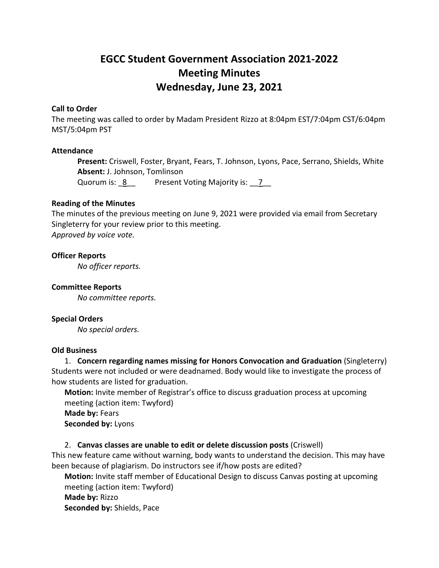# **EGCC Student Government Association 2021-2022 Meeting Minutes Wednesday, June 23, 2021**

#### **Call to Order**

The meeting was called to order by Madam President Rizzo at 8:04pm EST/7:04pm CST/6:04pm MST/5:04pm PST

#### **Attendance**

**Present:** Criswell, Foster, Bryant, Fears, T. Johnson, Lyons, Pace, Serrano, Shields, White **Absent:** J. Johnson, Tomlinson

Quorum is: 8 Present Voting Majority is: 7

### **Reading of the Minutes**

The minutes of the previous meeting on June 9, 2021 were provided via email from Secretary Singleterry for your review prior to this meeting. *Approved by voice vote.* 

# **Officer Reports**

*No officer reports.* 

**Committee Reports** *No committee reports.*

### **Special Orders**

*No special orders.*

#### **Old Business**

1. **Concern regarding names missing for Honors Convocation and Graduation** (Singleterry) Students were not included or were deadnamed. Body would like to investigate the process of how students are listed for graduation.

**Motion:** Invite member of Registrar's office to discuss graduation process at upcoming meeting (action item: Twyford)

**Made by:** Fears **Seconded by:** Lyons

### 2. **Canvas classes are unable to edit or delete discussion posts** (Criswell)

This new feature came without warning, body wants to understand the decision. This may have been because of plagiarism. Do instructors see if/how posts are edited?

**Motion:** Invite staff member of Educational Design to discuss Canvas posting at upcoming meeting (action item: Twyford) **Made by:** Rizzo **Seconded by:** Shields, Pace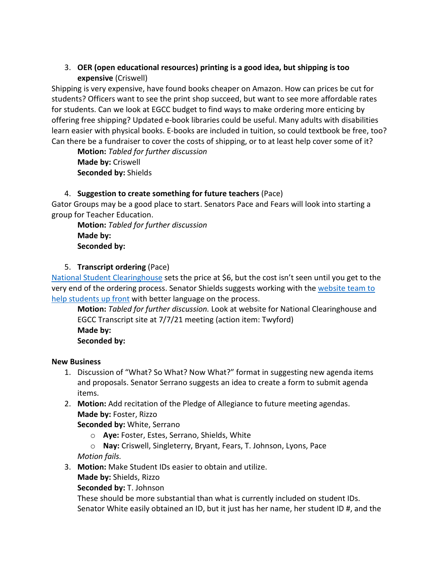# 3. **OER (open educational resources) printing is a good idea, but shipping is too expensive** (Criswell)

Shipping is very expensive, have found books cheaper on Amazon. How can prices be cut for students? Officers want to see the print shop succeed, but want to see more affordable rates for students. Can we look at EGCC budget to find ways to make ordering more enticing by offering free shipping? Updated e-book libraries could be useful. Many adults with disabilities learn easier with physical books. E-books are included in tuition, so could textbook be free, too? Can there be a fundraiser to cover the costs of shipping, or to at least help cover some of it?

**Motion:** *Tabled for further discussion* **Made by:** Criswell **Seconded by:** Shields

# 4. **Suggestion to create something for future teachers** (Pace)

Gator Groups may be a good place to start. Senators Pace and Fears will look into starting a group for Teacher Education.

**Motion:** *Tabled for further discussion* **Made by: Seconded by:**

# 5. **Transcript ordering** (Pace)

[National Student Clearinghouse](https://www.studentclearinghouse.org/) sets the price at \$6, but the cost isn't seen until you get to the very end of the ordering process. Senator Shields suggests working with the [website team to](https://egcc.edu/academics/general-information/transcript-request/)  [help students up front](https://egcc.edu/academics/general-information/transcript-request/) with better language on the process.

**Motion:** *Tabled for further discussion.* Look at website for National Clearinghouse and EGCC Transcript site at 7/7/21 meeting (action item: Twyford) **Made by: Seconded by:**

## **New Business**

- 1. Discussion of "What? So What? Now What?" format in suggesting new agenda items and proposals. Senator Serrano suggests an idea to create a form to submit agenda items.
- 2. **Motion:** Add recitation of the Pledge of Allegiance to future meeting agendas. **Made by:** Foster, Rizzo

**Seconded by:** White, Serrano

- o **Aye:** Foster, Estes, Serrano, Shields, White
- o **Nay:** Criswell, Singleterry, Bryant, Fears, T. Johnson, Lyons, Pace *Motion fails.*
- 3. **Motion:** Make Student IDs easier to obtain and utilize.
	- **Made by:** Shields, Rizzo

**Seconded by:** T. Johnson

These should be more substantial than what is currently included on student IDs. Senator White easily obtained an ID, but it just has her name, her student ID #, and the